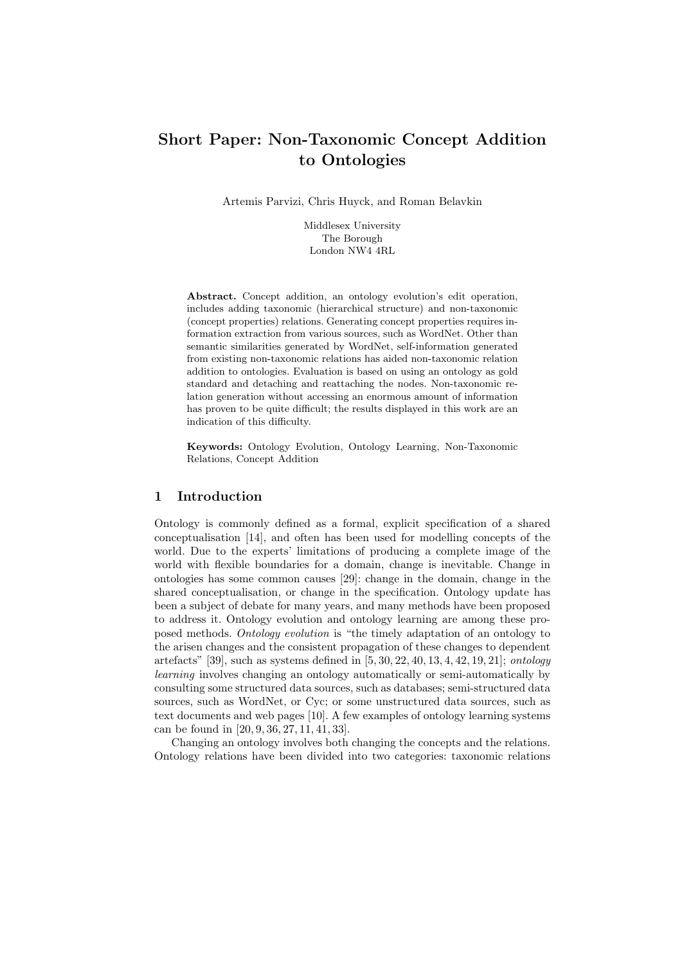# Short Paper: Non-Taxonomic Concept Addition to Ontologies

Artemis Parvizi, Chris Huyck, and Roman Belavkin

Middlesex University The Borough London NW4 4RL

Abstract. Concept addition, an ontology evolution's edit operation, includes adding taxonomic (hierarchical structure) and non-taxonomic (concept properties) relations. Generating concept properties requires information extraction from various sources, such as WordNet. Other than semantic similarities generated by WordNet, self-information generated from existing non-taxonomic relations has aided non-taxonomic relation addition to ontologies. Evaluation is based on using an ontology as gold standard and detaching and reattaching the nodes. Non-taxonomic relation generation without accessing an enormous amount of information has proven to be quite difficult; the results displayed in this work are an indication of this difficulty.

Keywords: Ontology Evolution, Ontology Learning, Non-Taxonomic Relations, Concept Addition

# 1 Introduction

Ontology is commonly defined as a formal, explicit specification of a shared conceptualisation [14], and often has been used for modelling concepts of the world. Due to the experts' limitations of producing a complete image of the world with flexible boundaries for a domain, change is inevitable. Change in ontologies has some common causes [29]: change in the domain, change in the shared conceptualisation, or change in the specification. Ontology update has been a subject of debate for many years, and many methods have been proposed to address it. Ontology evolution and ontology learning are among these proposed methods. Ontology evolution is "the timely adaptation of an ontology to the arisen changes and the consistent propagation of these changes to dependent artefacts" [39], such as systems defined in [5, 30, 22, 40, 13, 4, 42, 19, 21]; ontology learning involves changing an ontology automatically or semi-automatically by consulting some structured data sources, such as databases; semi-structured data sources, such as WordNet, or Cyc; or some unstructured data sources, such as text documents and web pages [10]. A few examples of ontology learning systems can be found in [20, 9, 36, 27, 11, 41, 33].

Changing an ontology involves both changing the concepts and the relations. Ontology relations have been divided into two categories: taxonomic relations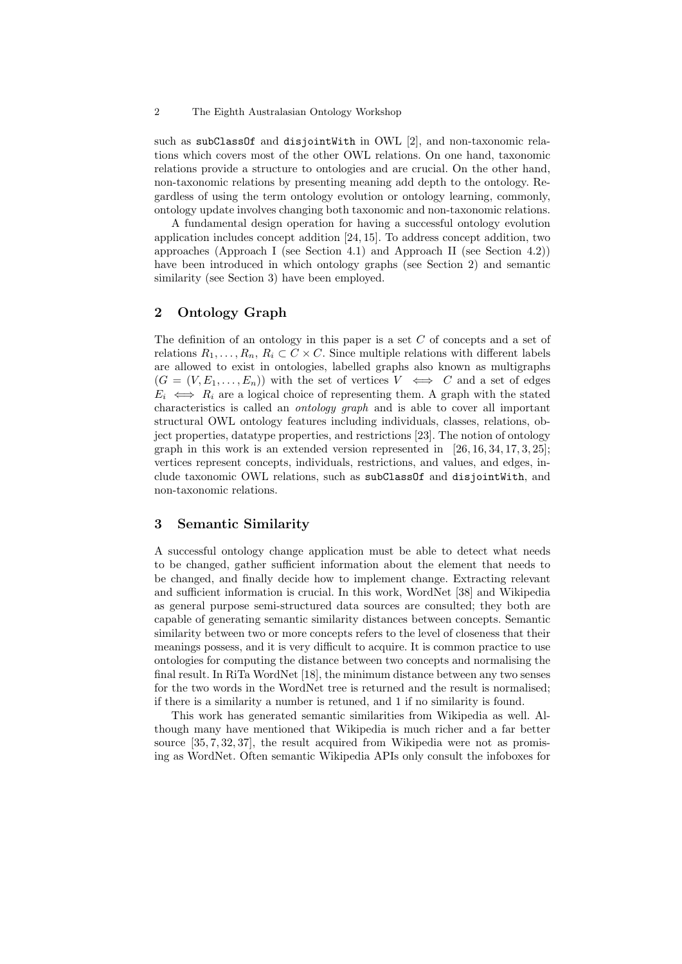such as subClassOf and disjointWith in OWL [2], and non-taxonomic relations which covers most of the other OWL relations. On one hand, taxonomic relations provide a structure to ontologies and are crucial. On the other hand, non-taxonomic relations by presenting meaning add depth to the ontology. Regardless of using the term ontology evolution or ontology learning, commonly, ontology update involves changing both taxonomic and non-taxonomic relations.

A fundamental design operation for having a successful ontology evolution application includes concept addition [24, 15]. To address concept addition, two approaches (Approach I (see Section 4.1) and Approach II (see Section 4.2)) have been introduced in which ontology graphs (see Section 2) and semantic similarity (see Section 3) have been employed.

### 2 Ontology Graph

The definition of an ontology in this paper is a set C of concepts and a set of relations  $R_1, \ldots, R_n, R_i \subset C \times C$ . Since multiple relations with different labels are allowed to exist in ontologies, labelled graphs also known as multigraphs  $(G = (V, E_1, \ldots, E_n))$  with the set of vertices  $V \iff C$  and a set of edges  $E_i \iff R_i$  are a logical choice of representing them. A graph with the stated characteristics is called an ontology graph and is able to cover all important structural OWL ontology features including individuals, classes, relations, object properties, datatype properties, and restrictions [23]. The notion of ontology graph in this work is an extended version represented in  $[26, 16, 34, 17, 3, 25]$ ; vertices represent concepts, individuals, restrictions, and values, and edges, include taxonomic OWL relations, such as subClassOf and disjointWith, and non-taxonomic relations.

### 3 Semantic Similarity

A successful ontology change application must be able to detect what needs to be changed, gather sufficient information about the element that needs to be changed, and finally decide how to implement change. Extracting relevant and sufficient information is crucial. In this work, WordNet [38] and Wikipedia as general purpose semi-structured data sources are consulted; they both are capable of generating semantic similarity distances between concepts. Semantic similarity between two or more concepts refers to the level of closeness that their meanings possess, and it is very difficult to acquire. It is common practice to use ontologies for computing the distance between two concepts and normalising the final result. In RiTa WordNet [18], the minimum distance between any two senses for the two words in the WordNet tree is returned and the result is normalised; if there is a similarity a number is retuned, and 1 if no similarity is found.

This work has generated semantic similarities from Wikipedia as well. Although many have mentioned that Wikipedia is much richer and a far better source [35, 7, 32, 37], the result acquired from Wikipedia were not as promising as WordNet. Often semantic Wikipedia APIs only consult the infoboxes for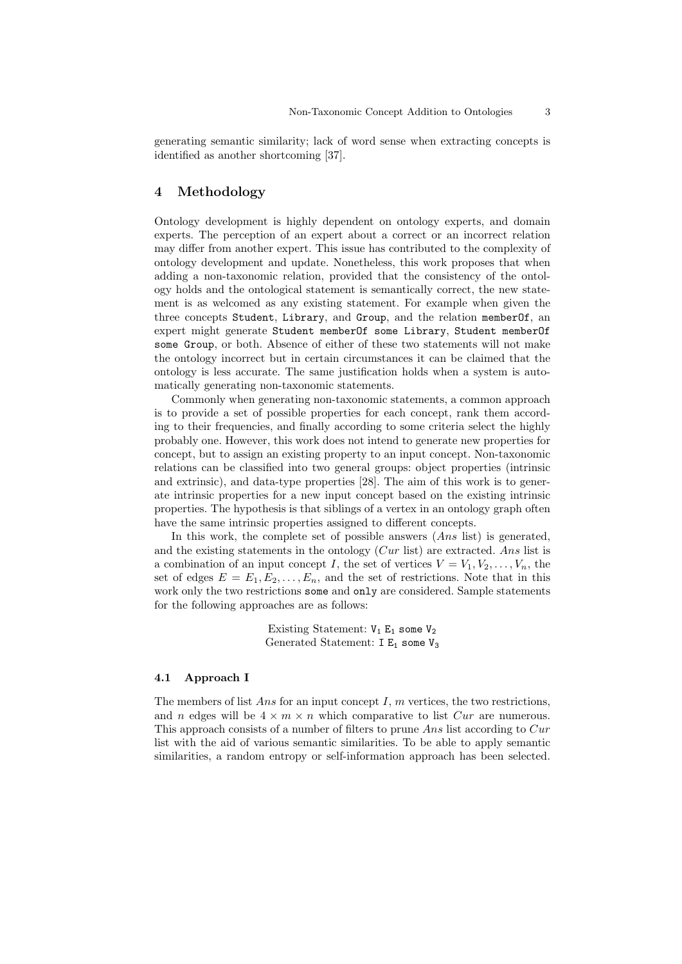generating semantic similarity; lack of word sense when extracting concepts is identified as another shortcoming [37].

## 4 Methodology

Ontology development is highly dependent on ontology experts, and domain experts. The perception of an expert about a correct or an incorrect relation may differ from another expert. This issue has contributed to the complexity of ontology development and update. Nonetheless, this work proposes that when adding a non-taxonomic relation, provided that the consistency of the ontology holds and the ontological statement is semantically correct, the new statement is as welcomed as any existing statement. For example when given the three concepts Student, Library, and Group, and the relation memberOf, an expert might generate Student memberOf some Library, Student memberOf some Group, or both. Absence of either of these two statements will not make the ontology incorrect but in certain circumstances it can be claimed that the ontology is less accurate. The same justification holds when a system is automatically generating non-taxonomic statements.

Commonly when generating non-taxonomic statements, a common approach is to provide a set of possible properties for each concept, rank them according to their frequencies, and finally according to some criteria select the highly probably one. However, this work does not intend to generate new properties for concept, but to assign an existing property to an input concept. Non-taxonomic relations can be classified into two general groups: object properties (intrinsic and extrinsic), and data-type properties [28]. The aim of this work is to generate intrinsic properties for a new input concept based on the existing intrinsic properties. The hypothesis is that siblings of a vertex in an ontology graph often have the same intrinsic properties assigned to different concepts.

In this work, the complete set of possible answers  $(Ans$  list) is generated. and the existing statements in the ontology  $(Cur$  list) are extracted. Ans list is a combination of an input concept I, the set of vertices  $V = V_1, V_2, \ldots, V_n$ , the set of edges  $E = E_1, E_2, \ldots, E_n$ , and the set of restrictions. Note that in this work only the two restrictions some and only are considered. Sample statements for the following approaches are as follows:

> Existing Statement:  $V_1$  E<sub>1</sub> some  $V_2$ Generated Statement:  $I E_1$  some  $V_3$

### 4.1 Approach I

The members of list Ans for an input concept  $I$ ,  $m$  vertices, the two restrictions, and n edges will be  $4 \times m \times n$  which comparative to list Cur are numerous. This approach consists of a number of filters to prune Ans list according to Cur list with the aid of various semantic similarities. To be able to apply semantic similarities, a random entropy or self-information approach has been selected.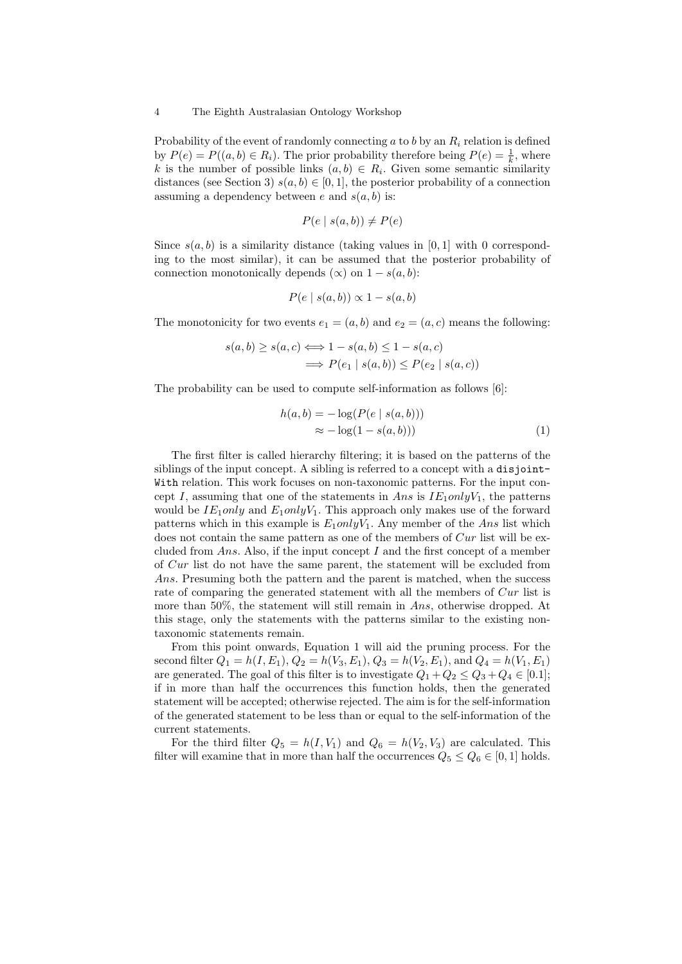Probability of the event of randomly connecting  $a$  to  $b$  by an  $R_i$  relation is defined by  $P(e) = P((a, b) \in R_i)$ . The prior probability therefore being  $P(e) = \frac{1}{k}$ , where k is the number of possible links  $(a, b) \in R_i$ . Given some semantic similarity distances (see Section 3)  $s(a, b) \in [0, 1]$ , the posterior probability of a connection assuming a dependency between e and  $s(a, b)$  is:

$$
P(e \mid s(a, b)) \neq P(e)
$$

Since  $s(a, b)$  is a similarity distance (taking values in [0, 1] with 0 corresponding to the most similar), it can be assumed that the posterior probability of connection monotonically depends  $(\infty)$  on  $1 - s(a, b)$ :

$$
P(e \mid s(a, b)) \propto 1 - s(a, b)
$$

The monotonicity for two events  $e_1 = (a, b)$  and  $e_2 = (a, c)$  means the following:

$$
s(a,b) \ge s(a,c) \Longleftrightarrow 1 - s(a,b) \le 1 - s(a,c)
$$

$$
\implies P(e_1 \mid s(a,b)) \le P(e_2 \mid s(a,c))
$$

The probability can be used to compute self-information as follows [6]:

$$
h(a,b) = -\log(P(e \mid s(a,b)))
$$
  

$$
\approx -\log(1 - s(a,b)))
$$
 (1)

The first filter is called hierarchy filtering; it is based on the patterns of the siblings of the input concept. A sibling is referred to a concept with a disjoint-With relation. This work focuses on non-taxonomic patterns. For the input concept I, assuming that one of the statements in Ans is  $IE_1 onlyV_1$ , the patterns would be  $IE_1 only$  and  $E_1 onlyV_1$ . This approach only makes use of the forward patterns which in this example is  $E_1 \text{only} V_1$ . Any member of the Ans list which does not contain the same pattern as one of the members of Cur list will be excluded from Ans. Also, if the input concept I and the first concept of a member of Cur list do not have the same parent, the statement will be excluded from Ans. Presuming both the pattern and the parent is matched, when the success rate of comparing the generated statement with all the members of Cur list is more than 50%, the statement will still remain in Ans, otherwise dropped. At this stage, only the statements with the patterns similar to the existing nontaxonomic statements remain.

From this point onwards, Equation 1 will aid the pruning process. For the second filter  $Q_1 = h(I, E_1), Q_2 = h(V_3, E_1), Q_3 = h(V_2, E_1), \text{ and } Q_4 = h(V_1, E_1)$ are generated. The goal of this filter is to investigate  $Q_1 + Q_2 \leq Q_3 + Q_4 \in [0.1]$ ; if in more than half the occurrences this function holds, then the generated statement will be accepted; otherwise rejected. The aim is for the self-information of the generated statement to be less than or equal to the self-information of the current statements.

For the third filter  $Q_5 = h(I, V_1)$  and  $Q_6 = h(V_2, V_3)$  are calculated. This filter will examine that in more than half the occurrences  $Q_5 \leq Q_6 \in [0,1]$  holds.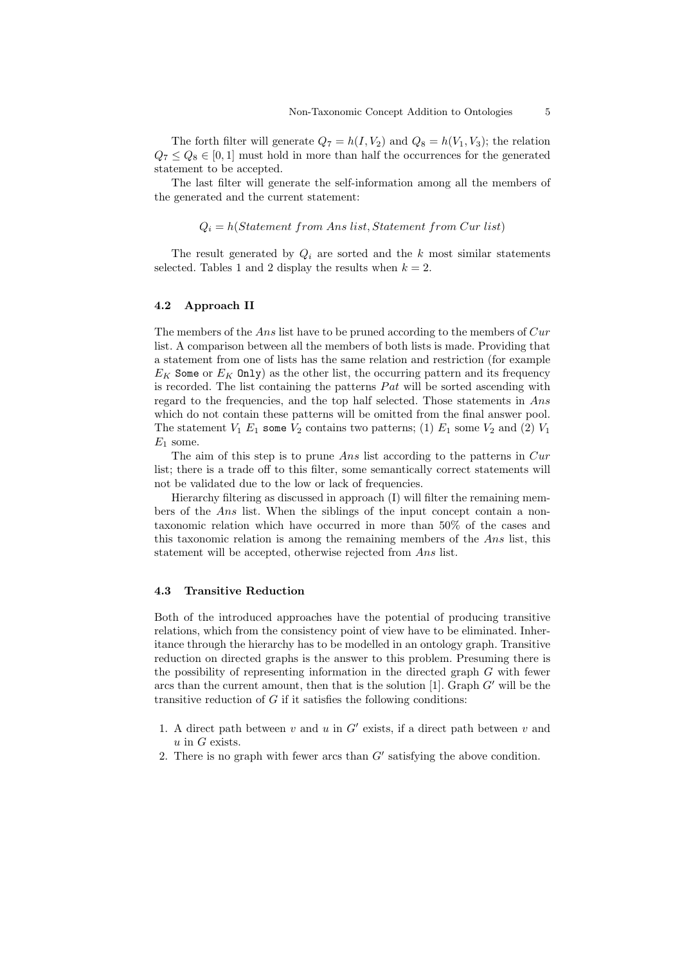The forth filter will generate  $Q_7 = h(I, V_2)$  and  $Q_8 = h(V_1, V_3)$ ; the relation  $Q_7 \leq Q_8 \in [0,1]$  must hold in more than half the occurrences for the generated statement to be accepted.

The last filter will generate the self-information among all the members of the generated and the current statement:

### $Q_i = h(Statement\ from\ Ans\ list, Statement\ from\ Cur\ list)$

The result generated by  $Q_i$  are sorted and the k most similar statements selected. Tables 1 and 2 display the results when  $k = 2$ .

### 4.2 Approach II

The members of the Ans list have to be pruned according to the members of  $Cur$ list. A comparison between all the members of both lists is made. Providing that a statement from one of lists has the same relation and restriction (for example  $E_K$  Some or  $E_K$  Only) as the other list, the occurring pattern and its frequency is recorded. The list containing the patterns  $Pat$  will be sorted ascending with regard to the frequencies, and the top half selected. Those statements in Ans which do not contain these patterns will be omitted from the final answer pool. The statement  $V_1$   $E_1$  some  $V_2$  contains two patterns; (1)  $E_1$  some  $V_2$  and (2)  $V_1$  $E_1$  some.

The aim of this step is to prune Ans list according to the patterns in  $Cur$ list; there is a trade off to this filter, some semantically correct statements will not be validated due to the low or lack of frequencies.

Hierarchy filtering as discussed in approach (I) will filter the remaining members of the Ans list. When the siblings of the input concept contain a nontaxonomic relation which have occurred in more than 50% of the cases and this taxonomic relation is among the remaining members of the Ans list, this statement will be accepted, otherwise rejected from Ans list.

### 4.3 Transitive Reduction

Both of the introduced approaches have the potential of producing transitive relations, which from the consistency point of view have to be eliminated. Inheritance through the hierarchy has to be modelled in an ontology graph. Transitive reduction on directed graphs is the answer to this problem. Presuming there is the possibility of representing information in the directed graph  $G$  with fewer arcs than the current amount, then that is the solution [1]. Graph  $G'$  will be the transitive reduction of  $G$  if it satisfies the following conditions:

- 1. A direct path between  $v$  and  $u$  in  $G'$  exists, if a direct path between  $v$  and  $u$  in G exists.
- 2. There is no graph with fewer arcs than  $G'$  satisfying the above condition.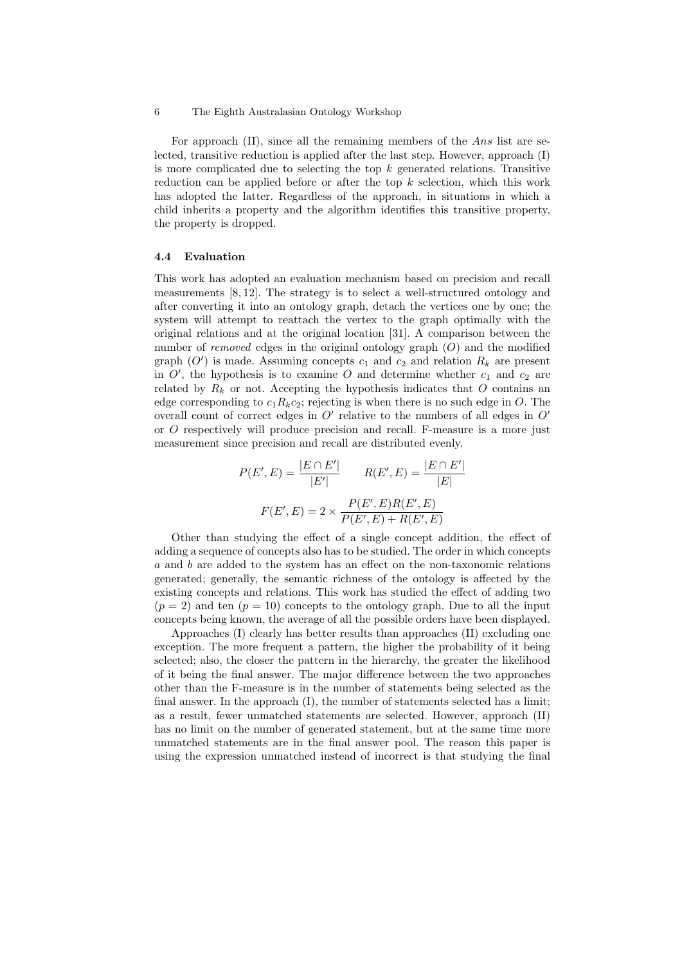For approach (II), since all the remaining members of the Ans list are selected, transitive reduction is applied after the last step. However, approach (I) is more complicated due to selecting the top  $k$  generated relations. Transitive reduction can be applied before or after the top  $k$  selection, which this work has adopted the latter. Regardless of the approach, in situations in which a child inherits a property and the algorithm identifies this transitive property, the property is dropped.

### 4.4 Evaluation

This work has adopted an evaluation mechanism based on precision and recall measurements [8, 12]. The strategy is to select a well-structured ontology and after converting it into an ontology graph, detach the vertices one by one; the system will attempt to reattach the vertex to the graph optimally with the original relations and at the original location [31]. A comparison between the number of *removed* edges in the original ontology graph  $(O)$  and the modified graph  $(O')$  is made. Assuming concepts  $c_1$  and  $c_2$  and relation  $R_k$  are present in  $O'$ , the hypothesis is to examine O and determine whether  $c_1$  and  $c_2$  are related by  $R_k$  or not. Accepting the hypothesis indicates that O contains an edge corresponding to  $c_1R_kc_2$ ; rejecting is when there is no such edge in O. The overall count of correct edges in  $O'$  relative to the numbers of all edges in  $O'$ or O respectively will produce precision and recall. F-measure is a more just measurement since precision and recall are distributed evenly.

$$
P(E', E) = \frac{|E \cap E'|}{|E'|} \qquad R(E', E) = \frac{|E \cap E'|}{|E|}
$$

$$
F(E', E) = 2 \times \frac{P(E', E)R(E', E)}{P(E', E) + R(E', E)}
$$

Other than studying the effect of a single concept addition, the effect of adding a sequence of concepts also has to be studied. The order in which concepts a and b are added to the system has an effect on the non-taxonomic relations generated; generally, the semantic richness of the ontology is affected by the existing concepts and relations. This work has studied the effect of adding two  $(p = 2)$  and ten  $(p = 10)$  concepts to the ontology graph. Due to all the input concepts being known, the average of all the possible orders have been displayed.

Approaches (I) clearly has better results than approaches (II) excluding one exception. The more frequent a pattern, the higher the probability of it being selected; also, the closer the pattern in the hierarchy, the greater the likelihood of it being the final answer. The major difference between the two approaches other than the F-measure is in the number of statements being selected as the final answer. In the approach (I), the number of statements selected has a limit; as a result, fewer unmatched statements are selected. However, approach (II) has no limit on the number of generated statement, but at the same time more unmatched statements are in the final answer pool. The reason this paper is using the expression unmatched instead of incorrect is that studying the final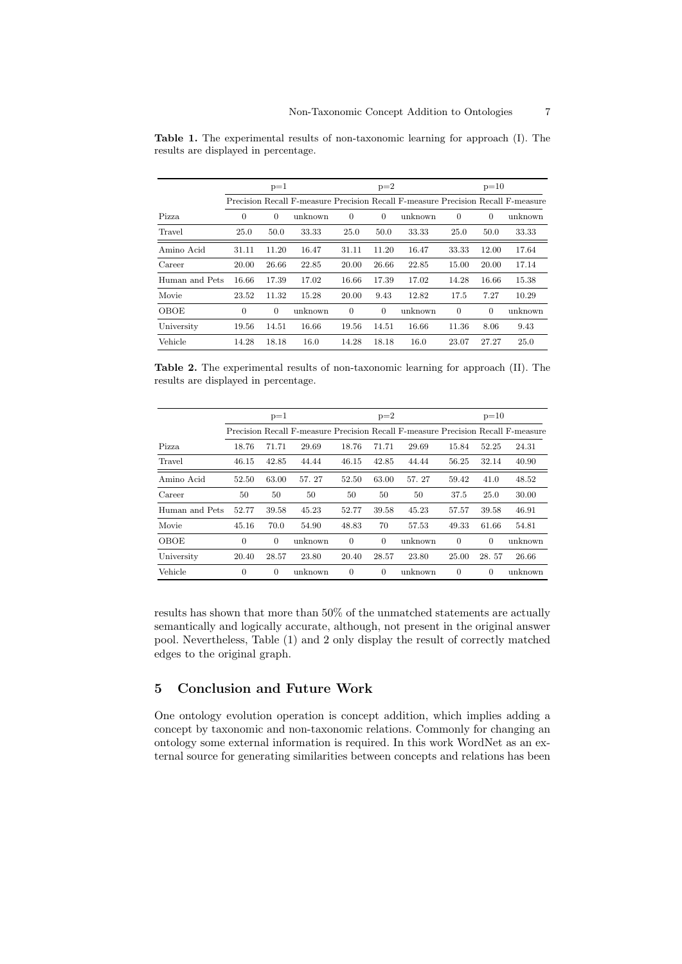|                | $p=1$    |          |         | $p=2$          |                |         | $p=10$         |          |                                                                                  |
|----------------|----------|----------|---------|----------------|----------------|---------|----------------|----------|----------------------------------------------------------------------------------|
|                |          |          |         |                |                |         |                |          | Precision Recall F-measure Precision Recall F-measure Precision Recall F-measure |
| Pizza          | $\Omega$ | $\Omega$ | unknown | $\theta$       | $\Omega$       | unknown | $\overline{0}$ | $\theta$ | unknown                                                                          |
| Travel         | 25.0     | 50.0     | 33.33   | 25.0           | 50.0           | 33.33   | 25.0           | 50.0     | 33.33                                                                            |
| Amino Acid     | 31.11    | 11.20    | 16.47   | 31.11          | 11.20          | 16.47   | 33.33          | 12.00    | 17.64                                                                            |
| Career         | 20.00    | 26.66    | 22.85   | 20.00          | 26.66          | 22.85   | 15.00          | 20.00    | 17.14                                                                            |
| Human and Pets | 16.66    | 17.39    | 17.02   | 16.66          | 17.39          | 17.02   | 14.28          | 16.66    | 15.38                                                                            |
| Movie          | 23.52    | 11.32    | 15.28   | 20.00          | 9.43           | 12.82   | 17.5           | 7.27     | 10.29                                                                            |
| OBOE           | $\theta$ | $\Omega$ | unknown | $\overline{0}$ | $\overline{0}$ | unknown | $\overline{0}$ | $\theta$ | unknown                                                                          |
| University     | 19.56    | 14.51    | 16.66   | 19.56          | 14.51          | 16.66   | 11.36          | 8.06     | 9.43                                                                             |
| Vehicle        | 14.28    | 18.18    | 16.0    | 14.28          | 18.18          | 16.0    | 23.07          | 27.27    | 25.0                                                                             |

Table 1. The experimental results of non-taxonomic learning for approach (I). The results are displayed in percentage.

Table 2. The experimental results of non-taxonomic learning for approach (II). The results are displayed in percentage.

|                | $p=1$    |          |         | $p=2$          |                |                                                                                  | $p=10$         |          |         |
|----------------|----------|----------|---------|----------------|----------------|----------------------------------------------------------------------------------|----------------|----------|---------|
|                |          |          |         |                |                | Precision Recall F-measure Precision Recall F-measure Precision Recall F-measure |                |          |         |
| Pizza          | 18.76    | 71.71    | 29.69   | 18.76          | 71.71          | 29.69                                                                            | 15.84          | 52.25    | 24.31   |
| Travel         | 46.15    | 42.85    | 44.44   | 46.15          | 42.85          | 44.44                                                                            | 56.25          | 32.14    | 40.90   |
| Amino Acid     | 52.50    | 63.00    | 57.27   | 52.50          | 63.00          | 57.27                                                                            | 59.42          | 41.0     | 48.52   |
| Career         | 50       | 50       | 50      | 50             | 50             | 50                                                                               | 37.5           | 25.0     | 30.00   |
| Human and Pets | 52.77    | 39.58    | 45.23   | 52.77          | 39.58          | 45.23                                                                            | 57.57          | 39.58    | 46.91   |
| Movie          | 45.16    | 70.0     | 54.90   | 48.83          | 70             | 57.53                                                                            | 49.33          | 61.66    | 54.81   |
| OBOE           | $\theta$ | $\theta$ | unknown | $\overline{0}$ | $\theta$       | unknown                                                                          | $\overline{0}$ | $\theta$ | unknown |
| University     | 20.40    | 28.57    | 23.80   | 20.40          | 28.57          | 23.80                                                                            | 25.00          | 28.57    | 26.66   |
| Vehicle        | $\theta$ | $\theta$ | unknown | $\overline{0}$ | $\overline{0}$ | unknown                                                                          | $\theta$       | $\theta$ | unknown |

results has shown that more than 50% of the unmatched statements are actually semantically and logically accurate, although, not present in the original answer pool. Nevertheless, Table (1) and 2 only display the result of correctly matched edges to the original graph.

# 5 Conclusion and Future Work

One ontology evolution operation is concept addition, which implies adding a concept by taxonomic and non-taxonomic relations. Commonly for changing an ontology some external information is required. In this work WordNet as an external source for generating similarities between concepts and relations has been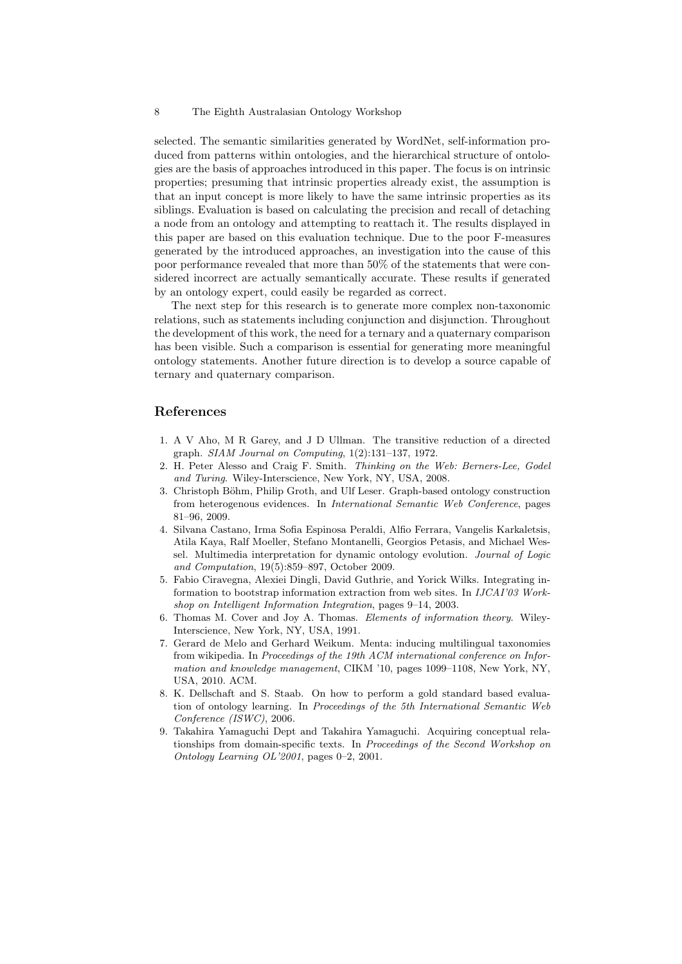selected. The semantic similarities generated by WordNet, self-information produced from patterns within ontologies, and the hierarchical structure of ontologies are the basis of approaches introduced in this paper. The focus is on intrinsic properties; presuming that intrinsic properties already exist, the assumption is that an input concept is more likely to have the same intrinsic properties as its siblings. Evaluation is based on calculating the precision and recall of detaching a node from an ontology and attempting to reattach it. The results displayed in this paper are based on this evaluation technique. Due to the poor F-measures generated by the introduced approaches, an investigation into the cause of this poor performance revealed that more than 50% of the statements that were considered incorrect are actually semantically accurate. These results if generated by an ontology expert, could easily be regarded as correct.

The next step for this research is to generate more complex non-taxonomic relations, such as statements including conjunction and disjunction. Throughout the development of this work, the need for a ternary and a quaternary comparison has been visible. Such a comparison is essential for generating more meaningful ontology statements. Another future direction is to develop a source capable of ternary and quaternary comparison.

### References

- 1. A V Aho, M R Garey, and J D Ullman. The transitive reduction of a directed graph. SIAM Journal on Computing, 1(2):131–137, 1972.
- 2. H. Peter Alesso and Craig F. Smith. Thinking on the Web: Berners-Lee, Godel and Turing. Wiley-Interscience, New York, NY, USA, 2008.
- 3. Christoph Böhm, Philip Groth, and Ulf Leser. Graph-based ontology construction from heterogenous evidences. In International Semantic Web Conference, pages 81–96, 2009.
- 4. Silvana Castano, Irma Sofia Espinosa Peraldi, Alfio Ferrara, Vangelis Karkaletsis, Atila Kaya, Ralf Moeller, Stefano Montanelli, Georgios Petasis, and Michael Wessel. Multimedia interpretation for dynamic ontology evolution. Journal of Logic and Computation, 19(5):859–897, October 2009.
- 5. Fabio Ciravegna, Alexiei Dingli, David Guthrie, and Yorick Wilks. Integrating information to bootstrap information extraction from web sites. In IJCAI'03 Workshop on Intelligent Information Integration, pages 9–14, 2003.
- 6. Thomas M. Cover and Joy A. Thomas. Elements of information theory. Wiley-Interscience, New York, NY, USA, 1991.
- 7. Gerard de Melo and Gerhard Weikum. Menta: inducing multilingual taxonomies from wikipedia. In Proceedings of the 19th ACM international conference on Information and knowledge management, CIKM '10, pages 1099–1108, New York, NY, USA, 2010. ACM.
- 8. K. Dellschaft and S. Staab. On how to perform a gold standard based evaluation of ontology learning. In Proceedings of the 5th International Semantic Web Conference (ISWC), 2006.
- 9. Takahira Yamaguchi Dept and Takahira Yamaguchi. Acquiring conceptual relationships from domain-specific texts. In Proceedings of the Second Workshop on Ontology Learning OL'2001, pages 0–2, 2001.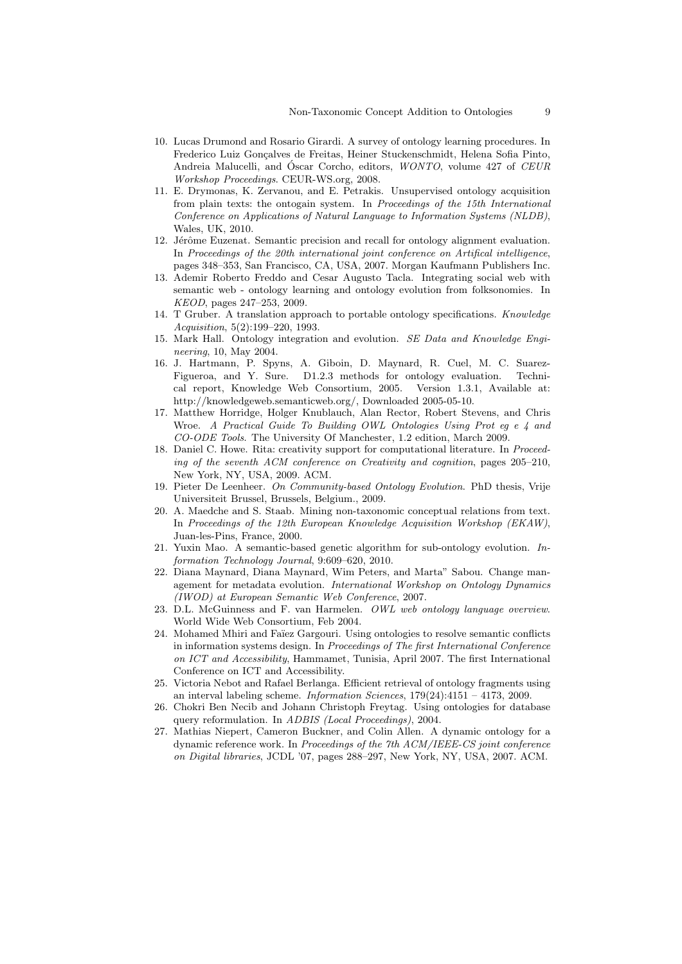- 10. Lucas Drumond and Rosario Girardi. A survey of ontology learning procedures. In Frederico Luiz Gonçalves de Freitas, Heiner Stuckenschmidt, Helena Sofia Pinto, Andreia Malucelli, and Óscar Corcho, editors, *WONTO*, volume 427 of CEUR Workshop Proceedings. CEUR-WS.org, 2008.
- 11. E. Drymonas, K. Zervanou, and E. Petrakis. Unsupervised ontology acquisition from plain texts: the ontogain system. In Proceedings of the 15th International Conference on Applications of Natural Language to Information Systems (NLDB), Wales, UK, 2010.
- 12. Jérôme Euzenat. Semantic precision and recall for ontology alignment evaluation. In Proceedings of the 20th international joint conference on Artifical intelligence, pages 348–353, San Francisco, CA, USA, 2007. Morgan Kaufmann Publishers Inc.
- 13. Ademir Roberto Freddo and Cesar Augusto Tacla. Integrating social web with semantic web - ontology learning and ontology evolution from folksonomies. In KEOD, pages 247–253, 2009.
- 14. T Gruber. A translation approach to portable ontology specifications. Knowledge Acquisition, 5(2):199–220, 1993.
- 15. Mark Hall. Ontology integration and evolution. SE Data and Knowledge Engineering, 10, May 2004.
- 16. J. Hartmann, P. Spyns, A. Giboin, D. Maynard, R. Cuel, M. C. Suarez-Figueroa, and Y. Sure. D1.2.3 methods for ontology evaluation. Technical report, Knowledge Web Consortium, 2005. Version 1.3.1, Available at: http://knowledgeweb.semanticweb.org/, Downloaded 2005-05-10.
- 17. Matthew Horridge, Holger Knublauch, Alan Rector, Robert Stevens, and Chris Wroe. A Practical Guide To Building OWL Ontologies Using Prot eg e 4 and CO-ODE Tools. The University Of Manchester, 1.2 edition, March 2009.
- 18. Daniel C. Howe. Rita: creativity support for computational literature. In Proceeding of the seventh ACM conference on Creativity and cognition, pages 205–210, New York, NY, USA, 2009. ACM.
- 19. Pieter De Leenheer. On Community-based Ontology Evolution. PhD thesis, Vrije Universiteit Brussel, Brussels, Belgium., 2009.
- 20. A. Maedche and S. Staab. Mining non-taxonomic conceptual relations from text. In Proceedings of the 12th European Knowledge Acquisition Workshop (EKAW), Juan-les-Pins, France, 2000.
- 21. Yuxin Mao. A semantic-based genetic algorithm for sub-ontology evolution. Information Technology Journal, 9:609–620, 2010.
- 22. Diana Maynard, Diana Maynard, Wim Peters, and Marta" Sabou. Change management for metadata evolution. International Workshop on Ontology Dynamics (IWOD) at European Semantic Web Conference, 2007.
- 23. D.L. McGuinness and F. van Harmelen. OWL web ontology language overview. World Wide Web Consortium, Feb 2004.
- 24. Mohamed Mhiri and Faïez Gargouri. Using ontologies to resolve semantic conflicts in information systems design. In Proceedings of The first International Conference on ICT and Accessibility, Hammamet, Tunisia, April 2007. The first International Conference on ICT and Accessibility.
- 25. Victoria Nebot and Rafael Berlanga. Efficient retrieval of ontology fragments using an interval labeling scheme. Information Sciences, 179(24):4151 – 4173, 2009.
- 26. Chokri Ben Necib and Johann Christoph Freytag. Using ontologies for database query reformulation. In ADBIS (Local Proceedings), 2004.
- 27. Mathias Niepert, Cameron Buckner, and Colin Allen. A dynamic ontology for a dynamic reference work. In Proceedings of the 7th ACM/IEEE-CS joint conference on Digital libraries, JCDL '07, pages 288–297, New York, NY, USA, 2007. ACM.